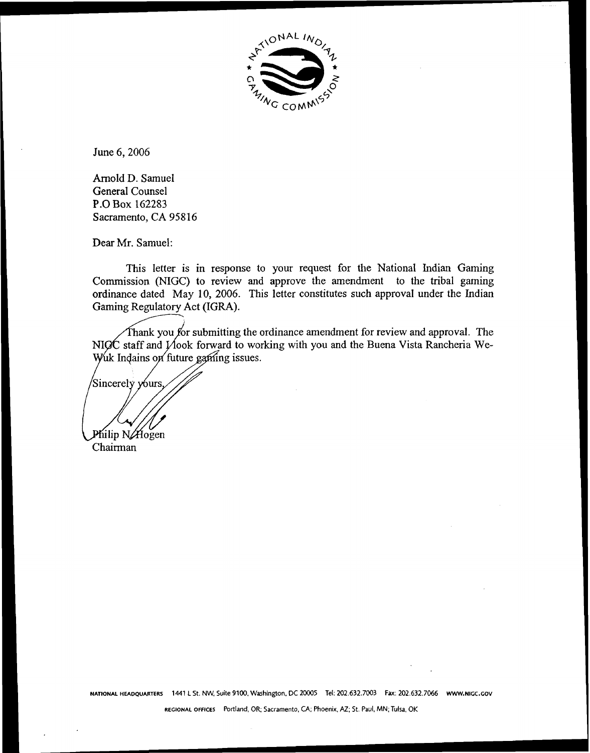

June 6,2006

Arnold D. Samuel General Counsel **P.0** Box 162283 Sacramento, CA 95816

Dear Mr. Samuel:

This letter is in response to your request for the National Indian Gaming Commission (NIGC) to review and approve the amendment to the tribal gaming ordinance dated May 10, 2006. This letter constitutes such approval under the Indian Gaming Regulatory Act (IGRA).

Thank you for submitting the ordinance amendment for review and approval. The NIGC staff and  $y'$  hook forward to working with you and the Buena Vista Rancheria We-<br>Wuk Indains on future gaming issues.

Sincerely yours.  $\overline{\phantom{0}}$ 

Chairman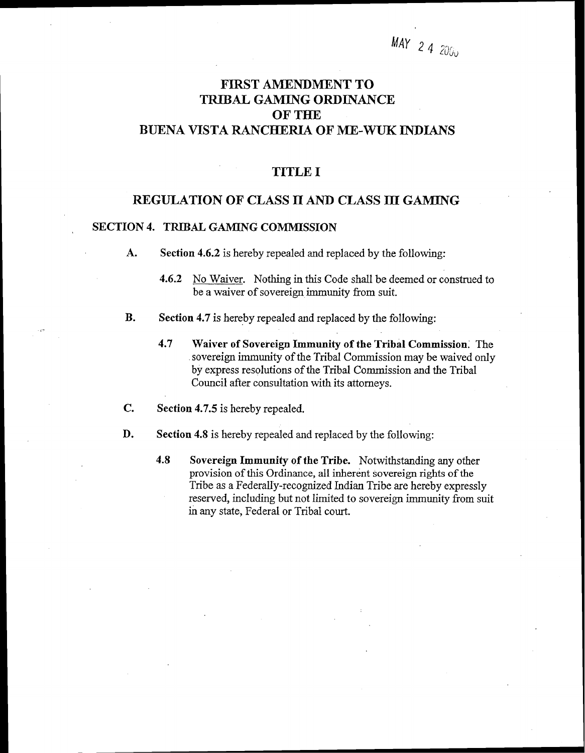# **FIRST AMENDMENT TO TRlBAL GAMING ORDINANCE OF THE BUENA VISTA RANCHERIA OF ME-WUK INDIANS**

### **TITLE I**

## **REGULATION OF CLASS 11 AND CLASS 111 GAMTNG**

#### **SECTION 4. TRIBAL GAMING COMMISSION**

- $\mathbf{A}$ . **Section 4.6.2** is hereby repealed and replaced by the following:
	- **4.6.2** No Waiver. Nothing in this Code shall be deemed or construed to be a waiver of sovereign immunity from suit.
- **B. Section 4.7** is hereby repealed and replaced by the following:
	- **4.7 Waiver of Sovereign Immunity of the Tribal Commission.** The sovereign immunity of the Tribal Commission may be waived only by express resolutions of the Tribal Commission and the Tribal Council after consultation with its attorneys.
- C. **Section 4.7.5** is hereby repealed.
- D. **Section 4.8** is hereby repealed and replaced by the following:
	- **4.8 Sovereign Immunity of the Tribe.** Notwithstanding any other provision of this Ordinance, all inherent sovereign rights of the Tribe as a Federally-recognized Indian Tribe are hereby expressly reserved, including but not limited to sovereign immunity from suit in any state, Federal or Tribal court.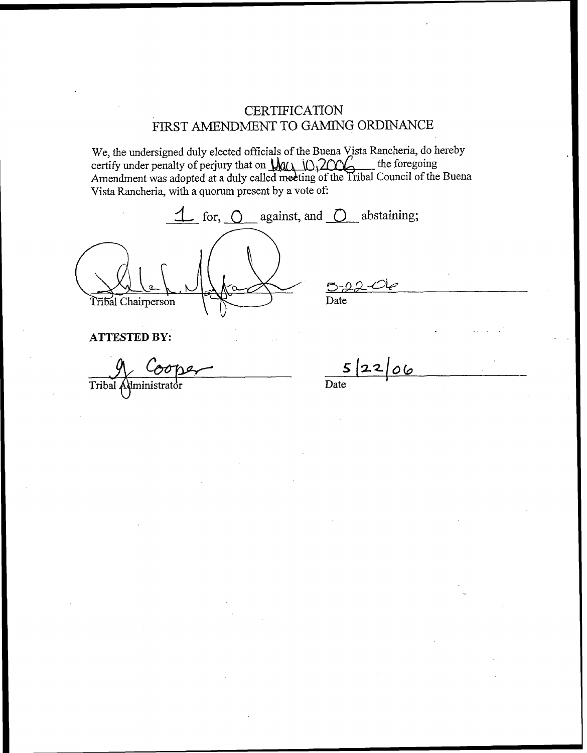**CERTIFICATION** FIRST AMENDMENT TO GAMING ORDINANCE

We, the undersigned duly elected officials of the Buena Vista Rancheria, do hereby certify under penalty of perjury that on  $\mathcal{U}(\lambda)$  (0.2006). Amendment was adopted at a duly called meeting of the Tribal Council of the Buena Vista Rancheria, with a quorum present by a vote of:

 $\overline{\mathcal{L}}$  for,  $\overline{O}$  against, and  $\overline{O}$  abstaining; Date Tribal Chairperson

**ATTESTED BY:** 

Tribal Administrator

 $52206$  $\overline{Date}$